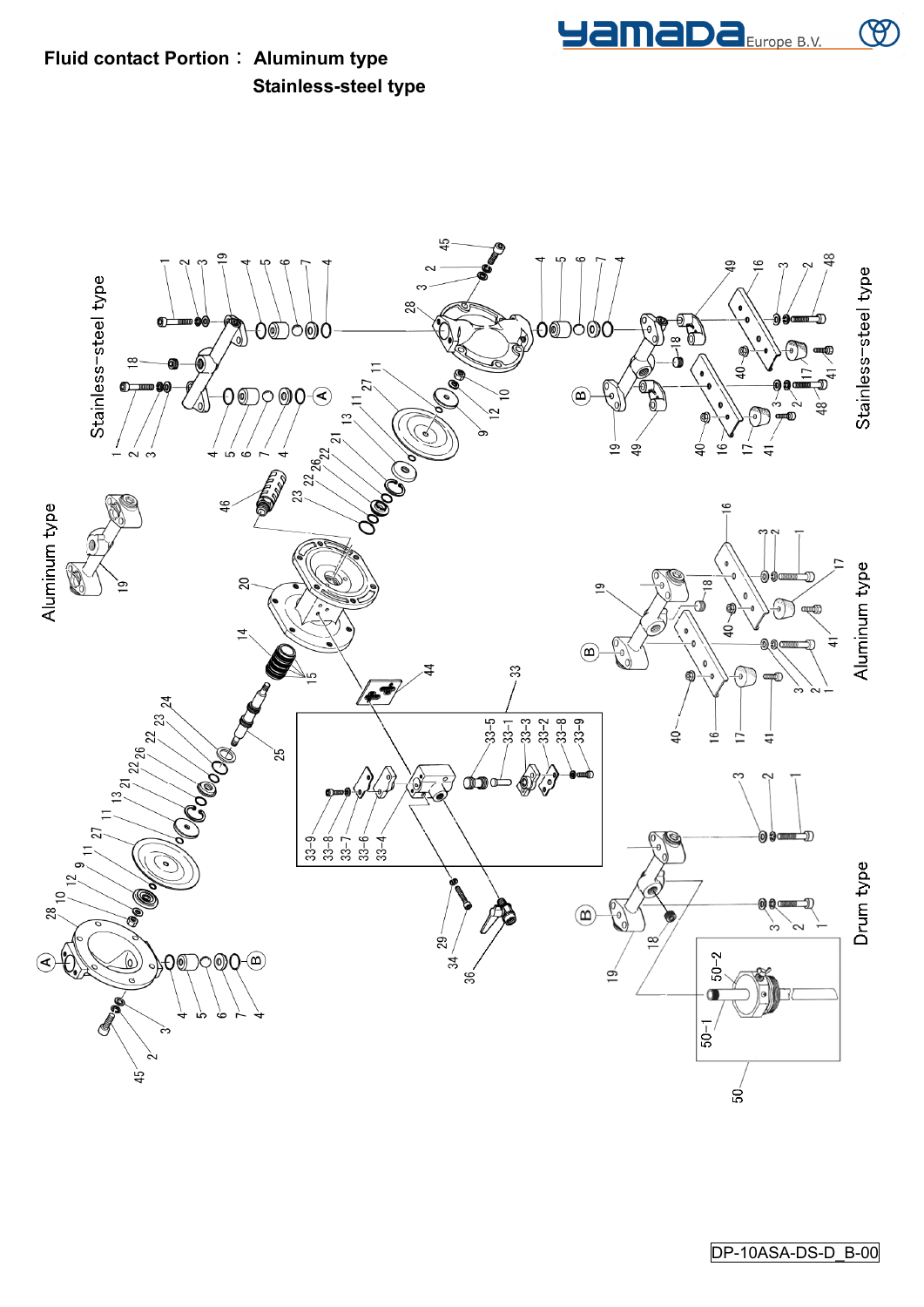